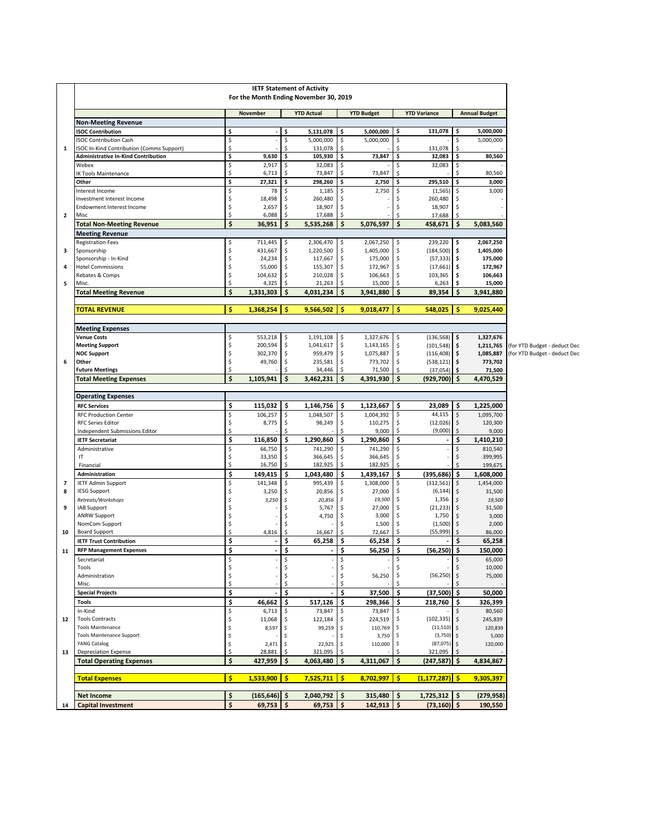| <b>IETF Statement of Activity</b><br>For the Month Ending November 30, 2019 |        |                  |          |                    |          |                    |          |                        |                    |                      |                              |
|-----------------------------------------------------------------------------|--------|------------------|----------|--------------------|----------|--------------------|----------|------------------------|--------------------|----------------------|------------------------------|
|                                                                             |        | November         |          | <b>YTD Actual</b>  |          | <b>YTD Budget</b>  |          | <b>YTD Variance</b>    |                    | <b>Annual Budget</b> |                              |
| <b>Non-Meeting Revenue</b>                                                  |        |                  |          |                    |          |                    |          |                        |                    |                      |                              |
| <b>ISOC Contribution</b>                                                    | \$     |                  | -\$      | 5,131,078          | -\$      | 5,000,000          | \$       | 131,078                | \$                 | 5,000,000            |                              |
| <b>ISOC Contribution Cash</b>                                               | \$     |                  | \$       | 5,000,000          | \$       | 5,000,000          | \$       |                        | \$                 | 5,000,000            |                              |
| ISOC In-Kind Contribution (Comms Support)                                   | \$     |                  |          | 131,078            | \$       |                    | \$.      | 131,078                | \$                 |                      |                              |
| <b>Administrative In-Kind Contribution</b>                                  | \$     | 9,630            | \$       | 105,930            | \$       | 73,847             | \$       | 32,083                 | \$                 | 80,560               |                              |
| Webex                                                                       | \$     | 2,917            | Ŝ        | 32,083             | \$       |                    | Ś        | 32,083                 | Ŝ                  |                      |                              |
| <b>IK Tools Maintenance</b>                                                 | \$     | 6,713            |          | 73,847             | \$       | 73,847             | \$.      |                        | Ŝ                  | 80,560               |                              |
| Other                                                                       | \$     | 27,321           | \$       | 298,260            | \$       | 2,750              | \$       | 295,510                | \$                 | 3,000                |                              |
| Interest Income                                                             | \$     | 78               |          | 1,185              | \$       | 2,750              | \$       | (1, 565)               |                    | 3,000                |                              |
| Investment Interest Income                                                  | \$     | 18,498           | \$       | 260,480            | \$       |                    | Ś        | 260,480                |                    |                      |                              |
| <b>Endowment Interest Income</b>                                            | \$     | 2,657            | Ŝ.       | 18,907             | \$       |                    | Ś        | 18,907                 | Ŝ                  |                      |                              |
| Misc                                                                        | \$     | 6,088            | \$       | 17,688             | \$       |                    | Ś        | 17,688                 | Ŝ.                 |                      |                              |
| <b>Total Non-Meeting Revenue</b>                                            | \$     | 36,951           | \$       | 5,535,268          | \$       | 5,076,597          | \$       | 458,671                | \$                 | 5,083,560            |                              |
| <b>Meeting Revenue</b>                                                      |        |                  |          |                    |          |                    |          |                        |                    |                      |                              |
| <b>Registration Fees</b>                                                    | \$     | 711,445          | \$       | 2,306,470          | \$       | 2,067,250          | \$       | 239,220                | \$                 | 2,067,250            |                              |
| Sponsorship                                                                 | \$     | 431,667          | \$       | 1,220,500          | \$       | 1,405,000          | \$       | (184, 500)             | \$                 | 1,405,000            |                              |
| Sponsorship - In-Kind<br><b>Hotel Commissions</b>                           | Ś<br>Ś | 24,234<br>55,000 | Ŝ.<br>Ŝ. | 117,667<br>155,307 | \$<br>\$ | 175,000<br>172,967 | \$<br>Ś  | (57, 333)<br>(17, 661) | -\$<br>\$          | 175,000<br>172,967   |                              |
| Rebates & Comps                                                             | \$     | 104,632          | \$       | 210,028            | \$       | 106,663            | \$       | 103,365                | \$                 | 106,663              |                              |
| Misc.                                                                       | \$     | 4,325            |          | 21,263             | \$       | 15,000             | \$       | 6,263                  |                    | 15,000               |                              |
| <b>Total Meeting Revenue</b>                                                | Ś      | 1,331,303        | \$       | 4,031,234          | \$       | 3,941,880          | Ś        | 89,354                 | Ś                  | 3,941,880            |                              |
|                                                                             |        |                  |          |                    |          |                    |          |                        |                    |                      |                              |
| <b>TOTAL REVENUE</b>                                                        | Ś      | $1,368,254$ \$   |          | 9,566,502          | -Ś       | $9,018,477$   \$   |          | 548,025                | -Ś                 | 9,025,440            |                              |
| <b>Meeting Expenses</b>                                                     |        |                  |          |                    |          |                    |          |                        |                    |                      |                              |
| <b>Venue Costs</b>                                                          | \$     | 553,218          | \$       | 1,191,108          | \$       | 1,327,676          | \$       | (136, 568)             | \$                 | 1,327,676            |                              |
| <b>Meeting Support</b>                                                      | \$     | 200,594          | \$       | 1,041,617          | \$       | 1,143,165          | \$       | (101, 548)             | \$                 | 1,211,765            | (for YTD Budget - deduct Dec |
| <b>NOC Support</b>                                                          | \$     | 302,370          | \$       | 959,479            | \$       | 1,075,887          | \$       | (116, 408)             | \$                 | 1,085,887            | for YTD Budget - deduct Dec  |
| Other                                                                       | Ś      | 49,760           | Ŝ.       | 235,581            | \$       | 773,702            | \$       | (538, 121)             | -\$                | 773,702              |                              |
| <b>Future Meetings</b>                                                      | \$     |                  |          | 34,446             | \$       | 71,500             | Ś        | (37,054)               | \$ ا               | 71,500               |                              |
| <b>Total Meeting Expenses</b>                                               | \$     | 1.105.941        | \$       | 3,462,231          | \$       | 4,391,930          | \$       | (929,700)   \$         |                    | 4,470,529            |                              |
| <b>Operating Expenses</b>                                                   |        |                  |          |                    |          |                    |          |                        |                    |                      |                              |
| <b>RFC Services</b>                                                         | \$     | 115,032          | \$       | 1,146,756          | \$       | 1,123,667          | \$       | 23,089                 | \$                 | 1,225,000            |                              |
| <b>RFC Production Center</b>                                                | \$     | 106,257          | \$       | 1,048,507          | \$       | 1,004,392          | \$       | 44,115                 | \$                 | 1,095,700            |                              |
| <b>RFC Series Editor</b>                                                    | \$     | 8,775            | \$       | 98,249             | \$       | 110,275            | \$       | (12,026)               | l \$               | 120,300              |                              |
| Independent Submissions Editor                                              | Ś.     |                  |          |                    | Ś        | 9,000              | \$       | (9,000)                | \$                 | 9,000                |                              |
| <b>IETF Secretariat</b>                                                     | Ś      | 116,850          | \$       | 1,290,860          | \$       | 1,290,860          | \$       | $\blacksquare$         | \$                 | 1,410,210            |                              |
| Administrative                                                              | \$     | 66,750           | Ŝ.       | 741,290            | \$       | 741,290            | \$       |                        | Ŝ.                 | 810,540              |                              |
| IT                                                                          | \$     | 33,350           |          | 366,645            | \$       | 366,645            |          |                        |                    | 399,995              |                              |
| Financial                                                                   | \$     | 16,750           | \$       | 182,925            | \$       | 182,925            | \$       |                        | Ŝ                  | 199,675              |                              |
| Administration                                                              | \$     | 149,415          | \$       | 1,043,480          | \$.      | 1,439,167          | \$       | (395, 686)             | \$.                | 1,608,000            |                              |
| <b>IETF Admin Support</b>                                                   | \$     | 141,348          | \$       | 995,439            | \$       | 1,308,000          | \$       | (312, 561)             | \$                 | 1,454,000            |                              |
| <b>IESG Support</b>                                                         | \$     | 3,250            | Ŝ.       | 20,856             | \$       | 27,000             | \$       | (6, 144)               | Ŝ.                 | 31,500               |                              |
| Retreats/Workshops                                                          | Ś      | 3,250            | S.       | 20,856             | \$.      | 19,500             | \$       | 1,356                  |                    | 19,500               |                              |
| IAB Support<br><b>ANRW Support</b>                                          | Ś<br>Ś |                  |          | 5,767<br>4,750     | \$<br>\$ | 27,000<br>3,000    | \$<br>\$ | (21, 233)<br>1,750     |                    | 31,500<br>3,000      |                              |
| NomCom Support                                                              | Ś      |                  |          |                    | \$       | 1,500              | Ś        | (1,500)                |                    | 2,000                |                              |
| <b>Board Support</b>                                                        | \$     | 4,816            |          | 16,667             | Ŝ        | 72,667             | \$       | (55,999)               |                    | 86,000               |                              |
| <b>IETF Trust Contribution</b>                                              | \$     |                  | \$       | 65,258             | \$.      | 65,258             | \$       |                        | \$                 | 65,258               |                              |
| <b>RFP Management Expenses</b>                                              | \$     | $\blacksquare$   | \$       | $\blacksquare$     | \$       | 56,250             | \$       | $(56,250)$ \$          |                    | 150,000              |                              |
| Secretariat                                                                 | \$     |                  | \$       |                    | \$       |                    | \$       |                        | \$                 | 65,000               |                              |
| Tools                                                                       | \$     |                  | \$       |                    | \$       |                    | \$       |                        | \$                 | 10,000               |                              |
| Administration                                                              | \$     |                  | \$       |                    | \$       | 56,250             | \$       | (56, 250)              | $\ddot{\varsigma}$ | 75,000               |                              |
| Misc.                                                                       | \$     |                  |          |                    | \$       |                    | \$       |                        |                    |                      |                              |
| <b>Special Projects</b>                                                     | \$     |                  | \$       | $\blacksquare$     | \$       | 37,500             | \$       | (37,500)               | \$                 | 50,000               |                              |
| Tools                                                                       | \$     | 46,662           | \$       | 517,126            | \$       | 298,366            | -\$      | 218,760                | \$                 | 326,399              |                              |
| In-Kind                                                                     | \$     | 6,713            | Ŝ.       | 73,847             | \$       | 73,847             | \$       |                        | \$                 | 80,560               |                              |
| <b>Tools Contracts</b>                                                      | \$     | 11,068           | -\$      | 122,184            | \$       | 224,519            | \$       | (102, 335)             | \$                 | 245,839              |                              |
| <b>Tools Maintenance</b>                                                    | \$     | 8,597            | ۱\$      | 99,259             | \$       | 110,769            | \$.      | $(11,510)$ \$          |                    | 120,839              |                              |
| <b>Tools Maintenance Support</b>                                            | \$     |                  | Ŝ        |                    | \$       | 3,750              | \$       | (3,750)                | \$                 | 5,000                |                              |
| YANG Catalog                                                                | \$     | 2,471            | ۱\$      | 22,925             | \$       | 110,000            | \$       | (87,075)               | l \$               | 120,000              |                              |
| <b>Depreciation Expense</b>                                                 | \$     | 28,881           | -\$      | 321,095            | \$       |                    | Ś        | 321,095                | \$                 |                      |                              |
| <b>Total Operating Expenses</b>                                             | \$     | 427,959          | \$       | 4,063,480          | \$       | 4,311,067          | \$       | $(247, 587)$ \$        |                    | 4,834,867            |                              |
| <b>Total Expenses</b>                                                       | Ś.     | $1,533,900$ \$   |          | $7,525,711$   \$   |          | $8,702,997$ \$     |          | $(1, 177, 287)$ \$     |                    | 9,305,397            |                              |
|                                                                             | \$     | $(165, 646)$ \$  |          | 2,040,792          | \$       | $315,480$   \$     |          | $1,725,312$ \$         |                    | (279, 958)           |                              |
| <b>Net Income</b><br><b>Capital Investment</b>                              | \$     | $69,753$   \$    |          | 69,753             | \$       | $142,913$ \$       |          | $(73, 160)$ \$         |                    | 190,550              |                              |
|                                                                             |        |                  |          |                    |          |                    |          |                        |                    |                      |                              |